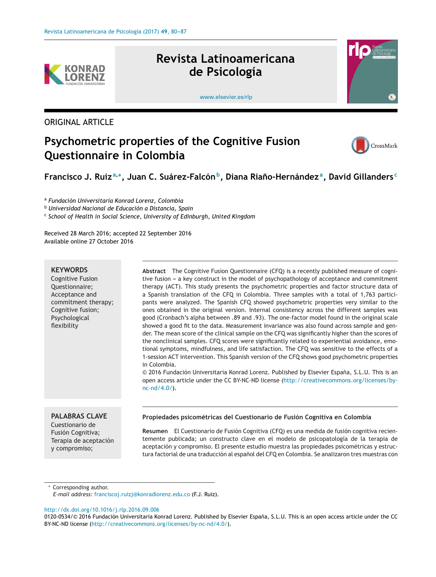

# **Revista Latinoamericana de Psicología**



#### [www.elsevier.es/rlp](http://www.elsevier.es/rlp)

## ORIGINAL ARTICLE

## **Psychometric properties of the Cognitive Fusion Questionnaire in Colombia**



## **Francisco J. Ruiz <sup>a</sup>,∗, Juan C. Suárez-Falcónb, Diana Riano-Hernández ˜ a, David Gillanders <sup>c</sup>**

<sup>a</sup> *Fundación Universitaria Konrad Lorenz, Colombia*

<sup>b</sup> *Universidad Nacional de Educación a Distancia, Spain*

<sup>c</sup> *School of Health in Social Science, University of Edinburgh, United Kingdom*

Received 28 March 2016; accepted 22 September 2016 Available online 27 October 2016

## **KEYWORDS**

Cognitive Fusion Questionnaire; Acceptance and commitment therapy; Cognitive fusion; Psychological flexibility

**Abstract** The Cognitive Fusion Questionnaire (CFQ) is a recently published measure of cognitive fusion - a key construct in the model of psychopathology of acceptance and commitment therapy (ACT). This study presents the psychometric properties and factor structure data of a Spanish translation of the CFQ in Colombia. Three samples with a total of 1,763 participants were analyzed. The Spanish CFQ showed psychometric properties very similar to the ones obtained in the original version. Internal consistency across the different samples was good (Cronbach's alpha between .89 and .93). The one-factor model found in the original scale showed a good fit to the data. Measurement invariance was also found across sample and gender. The mean score of the clinical sample on the CFQ was significantly higher than the scores of the nonclinical samples. CFQ scores were significantly related to experiential avoidance, emotional symptoms, mindfulness, and life satisfaction. The CFQ was sensitive to the effects of a 1-session ACT intervention. This Spanish version of the CFQ shows good psychometric properties in Colombia.

© 2016 Fundación Universitaria Konrad Lorenz. Published by Elsevier España, S.L.U. This is an open access article under the CC BY-NC-ND license ([http://creativecommons.org/licenses/by](http://creativecommons.org/licenses/by-nc-nd/4.0/)[nc-nd/4.0/\)](http://creativecommons.org/licenses/by-nc-nd/4.0/).

### **PALABRAS CLAVE**

Cuestionario de Fusión Cognitiva; Terapia de aceptación y compromiso;

#### **Propiedades psicométricas del Cuestionario de Fusión Cognitiva en Colombia**

**Resumen** El Cuestionario de Fusión Cognitiva (CFQ) es una medida de fusión cognitiva recientemente publicada; un constructo clave en el modelo de psicopatología de la terapia de aceptación y compromiso. El presente estudio muestra las propiedades psicométricas y estructura factorial de una traducción al español del CFQ en Colombia. Se analizaron tres muestras con

Corresponding author.

*E-mail address:* [franciscoj.ruizj@konradlorenz.edu.co](mailto:franciscoj.ruizj@konradlorenz.edu.co) (F.J. Ruiz).

[http://dx.doi.org/10.1016/j.rlp.2016.09.006](dx.doi.org/10.1016/j.rlp.2016.09.006)

<sup>0120-0534/© 2016</sup> Fundación Universitaria Konrad Lorenz. Published by Elsevier España, S.L.U. This is an open access article under the CC BY-NC-ND license [\(http://creativecommons.org/licenses/by-nc-nd/4.0/\)](http://creativecommons.org/licenses/by-nc-nd/4.0/).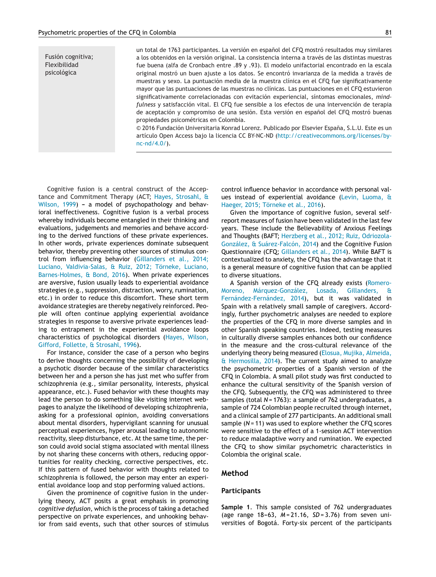Fusión cognitiva; Flexibilidad psicológica

un total de 1763 participantes. La versión en español del CFQ mostró resultados muy similares a los obtenidos en la versión original. La consistencia interna a través de las distintas muestras fue buena (alfa de Cronbach entre .89 y .93). El modelo unifactorial encontrado en la escala original mostró un buen ajuste a los datos. Se encontró invarianza de la medida a través de muestras y sexo. La puntuación media de la muestra clínica en el CFQ fue significativamente mayor que las puntuaciones de las muestras no clínicas. Las puntuaciones en el CFQ estuvieron significativamente correlacionadas con evitación experiencial, síntomas emocionales, *mindfulness* y satisfacción vital. El CFQ fue sensible a los efectos de una intervención de terapia de aceptación y compromiso de una sesión. Esta versión en español del CFQ mostró buenas propiedades psicométricas en Colombia.

© 2016 Fundación Universitaria Konrad Lorenz. Publicado por Elsevier España, S.L.U. Este es un artículo Open Access bajo la licencia CC BY-NC-ND [\(http://creativecommons.org/licenses/by](http://creativecommons.org/licenses/by-nc-nd/4.0/) $nc-nd/4.0/$ ).

Cognitive fusion is a central construct of the Acceptance and Commitment Therapy (ACT; [Hayes,](#page-6-0) [Strosahl,](#page-6-0) [&](#page-6-0) [Wilson,](#page-6-0)  $1999$ ) - a model of psychopathology and behavioral ineffectiveness. Cognitive fusion is a verbal process whereby individuals become entangled in their thinking and evaluations, judgements and memories and behave according to the derived functions of these private experiences. In other words, private experiences dominate subsequent behavior, thereby preventing other sources of stimulus control from influencing behavior [\(Gillanders](#page-6-0) et [al.,](#page-6-0) [2014;](#page-6-0) [Luciano,](#page-6-0) [Valdivia-Salas,](#page-6-0) [&](#page-6-0) [Ruiz,](#page-6-0) [2012;](#page-6-0) [Törneke,](#page-6-0) [Luciano,](#page-6-0) [Barnes-Holmes,](#page-6-0) [&](#page-6-0) [Bond,](#page-6-0) [2016\).](#page-6-0) When private experiences are aversive, fusion usually leads to experiential avoidance strategies (e.g., suppression, distraction, worry, rumination, etc.) in order to reduce this discomfort. These short term avoidance strategies are thereby negatively reinforced. People will often continue applying experiential avoidance strategies in response to aversive private experiences leading to entrapment in the experiential avoidance loops characteristics of psychological disorders ([Hayes,](#page-6-0) [Wilson,](#page-6-0) [Gifford,](#page-6-0) [Follette,](#page-6-0) [&](#page-6-0) [Strosahl,](#page-6-0) [1996\).](#page-6-0)

For instance, consider the case of a person who begins to derive thoughts concerning the possibility of developing a psychotic disorder because of the similar characteristics between her and a person she has just met who suffer from schizophrenia (e.g., similar personality, interests, physical appearance, etc.). Fused behavior with these thoughts may lead the person to do something like visiting internet webpages to analyze the likelihood of developing schizophrenia, asking for a professional opinion, avoiding conversations about mental disorders, hypervigilant scanning for unusual perceptual experiences, hyper arousal leading to autonomic reactivity, sleep disturbance, etc. At the same time, the person could avoid social stigma associated with mental illness by not sharing these concerns with others, reducing opportunities for reality checking, corrective perspectives, etc. If this pattern of fused behavior with thoughts related to schizophrenia is followed, the person may enter an experiential avoidance loop and stop performing valued actions.

Given the prominence of cognitive fusion in the underlying theory, ACT posits a great emphasis in promoting *cognitive defusion*, which is the process of taking a detached perspective on private experiences, and unhooking behavior from said events, such that other sources of stimulus control influence behavior in accordance with personal values instead of experiential avoidance ([Levin,](#page-7-0) [Luoma,](#page-7-0) [&](#page-7-0) [Haeger,](#page-7-0) [2015;](#page-7-0) [Törneke](#page-7-0) et [al.,](#page-7-0) [2016\).](#page-7-0)

Given the importance of cognitive fusion, several selfreport measures of fusion have been validated in the last few years. These include the Believability of Anxious Feelings and Thoughts (BAFT; [Herzberg](#page-6-0) et [al.,](#page-6-0) [2012;](#page-6-0) [Ruiz,](#page-6-0) [Odriozola-](#page-6-0)González, [&](#page-6-0) [Suárez-Falcón,](#page-6-0) [2014\)](#page-6-0) and the Cognitive Fusion Questionnaire (CFQ; [Gillanders](#page-6-0) et [al.,](#page-6-0) [2014\).](#page-6-0) While BAFT is contextualized to anxiety, the CFQ has the advantage that it is a general measure of cognitive fusion that can be applied to diverse situations.

A Spanish version of the CFQ already exists [\(Romero-](#page-7-0)Moreno, [Márquez-González,](#page-7-0) [Losada,](#page-7-0) [Gillanders,](#page-7-0) [&](#page-7-0) [Fernández-Fernández,](#page-7-0) [2014\),](#page-7-0) but it was validated in Spain with a relatively small sample of caregivers. Accordingly, further psychometric analyses are needed to explore the properties of the CFQ in more diverse samples and in other Spanish speaking countries. Indeed, testing measures in culturally diverse samples enhances both our confidence in the measure and the cross-cultural relevance of the underlying theory being measured [\(Elosua,](#page-6-0) [Mujika,](#page-6-0) [Almeida,](#page-6-0) [&](#page-6-0) [Hermosilla,](#page-6-0) [2014\).](#page-6-0) The current study aimed to analyze the psychometric properties of a Spanish version of the CFQ in Colombia. A small pilot study was first conducted to enhance the cultural sensitivity of the Spanish version of the CFQ. Subsequently, the CFQ was administered to three samples (total *N* = 1763): a sample of 762 undergraduates, a sample of 724 Colombian people recruited through internet, and a clinical sample of 277 participants. An additional small sample (*N* = 11) was used to explore whether the CFQ scores were sensitive to the effect of a 1-session ACT intervention to reduce maladaptive worry and rumination. We expected the CFQ to show similar psychometric characteristics in Colombia the original scale.

## **Method**

### **Participants**

**Sample 1**. This sample consisted of 762 undergraduates (age range 18-63, *M* = 21.16, *SD* = 3.76) from seven universities of Bogotá. Forty-six percent of the participants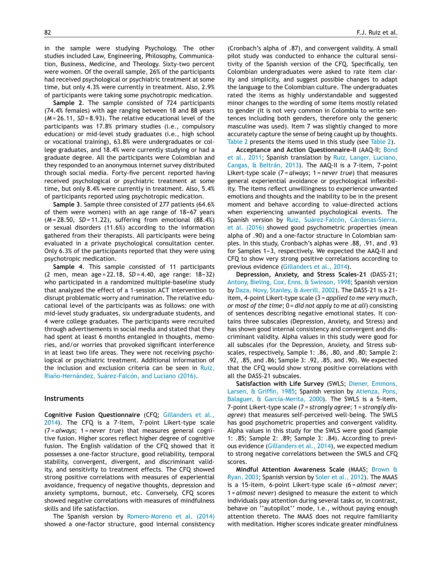in the sample were studying Psychology. The other studies included Law, Engineering, Philosophy, Communication, Business, Medicine, and Theology. Sixty-two percent were women. Of the overall sample, 26% of the participants had received psychological or psychiatric treatment at some time, but only 4.3% were currently in treatment. Also, 2.9% of participants were taking some psychotropic medication.

**Sample 2**. The sample consisted of 724 participants (74.4% females) with age ranging between 18 and 88 years (*M* = 26.11, *SD* = 8.93). The relative educational level of the participants was 17.8% primary studies (i.e., compulsory education) or mid-level study graduates (i.e., high school or vocational training), 63.8% were undergraduates or college graduates, and 18.4% were currently studying or had a graduate degree. All the participants were Colombian and they responded to an anonymous internet survey distributed through social media. Forty-five percent reported having received psychological or psychiatric treatment at some time, but only 8.4% were currently in treatment. Also, 5.4% of participants reported using psychotropic medication.

**Sample 3**. Sample three consisted of 277 patients (64.6% of them were women) with an age range of  $18-67$  years (*M* = 28.50, *SD* = 11.22), suffering from emotional (88.4%) or sexual disorders (11.6%) according to the information gathered from their therapists. All participants were being evaluated in a private psychological consultation center. Only 6.3% of the participants reported that they were using psychotropic medication.

**Sample 4**. This sample consisted of 11 participants (2 men, mean age = 22.18, *SD* = 4.40, age range: 18-32) who participated in a randomized multiple-baseline study that analyzed the effect of a 1-session ACT intervention to disrupt problematic worry and rumination. The relative educational level of the participants was as follows: one with mid-level study graduates, six undergraduate students, and 4 were college graduates. The participants were recruited through advertisements in social media and stated that they had spent at least 6 months entangled in thoughts, memories, and/or worries that provoked significant interference in at least two life areas. They were not receiving psychological or psychiatric treatment. Additional information of the inclusion and exclusion criteria can be seen in [Ruiz,](#page-7-0) Riaño-Hernández, [Suárez-Falcón,](#page-7-0) [and](#page-7-0) [Luciano](#page-7-0) [\(2016\).](#page-7-0)

### **Instruments**

**Cognitive Fusion Questionnaire** (CFQ; [Gillanders](#page-6-0) et [al.,](#page-6-0) [2014\).](#page-6-0) The CFQ is a 7-item, 7-point Likert-type scale (7 = *always*; 1 = *never true*) that measures general cognitive fusion. Higher scores reflect higher degree of cognitive fusion. The English validation of the CFQ showed that it possesses a one-factor structure, good reliability, temporal stability, convergent, divergent, and discriminant validity, and sensitivity to treatment effects. The CFQ showed strong positive correlations with measures of experiential avoidance, frequency of negative thoughts, depression and anxiety symptoms, burnout, etc. Conversely, CFQ scores showed negative correlations with measures of mindfulness skills and life satisfaction.

The Spanish version by [Romero-Moreno](#page-7-0) et [al.](#page-7-0) [\(2014\)](#page-7-0) showed a one-factor structure, good internal consistency (Cronbach's alpha of .87), and convergent validity. A small pilot study was conducted to enhance the cultural sensitivity of the Spanish version of the CFQ. Specifically, ten Colombian undergraduates were asked to rate item clarity and simplicity, and suggest possible changes to adapt the language to the Colombian culture. The undergraduates rated the items as highly understandable and suggested minor changes to the wording of some items mostly related to gender (it is not very common in Colombia to write sentences including both genders, therefore only the generic masculine was used). Item 7 was slightly changed to more accurately capture the sense of being caught up by thoughts. [Table](#page-4-0) 2 presents the items used in this study (see [Table](#page-4-0) 2).

**Acceptance and Action Questionnaire-II** (AAQ-II; [Bond](#page-6-0) et [al.,](#page-6-0) [2011;](#page-6-0) Spanish translation by [Ruiz,](#page-7-0) [Langer,](#page-7-0) [Luciano,](#page-7-0) [Cangas,](#page-7-0) [&](#page-7-0) [Beltrán,](#page-7-0) [2013\).](#page-7-0) The AAQ-II is a 7-item, 7-point Likert-type scale (7 = *always*; 1 = *never true*) that measures general experiential avoidance or psychological inflexibility. The items reflect unwillingness to experience unwanted emotions and thoughts and the inability to be in the present moment and behave according to value-directed actions when experiencing unwanted psychological events. The Spanish version by [Ruiz,](#page-7-0) [Suárez-Falcón,](#page-7-0) [Cárdenas-Sierra,](#page-7-0) et [al.](#page-7-0) [\(2016\)](#page-7-0) showed good psychometric properties (mean alpha of .90) and a one-factor structure in Colombian samples. In this study, Cronbach's alphas were .88, .91, and .93 for Samples 1-3, respectively. We expected the AAQ-II and CFQ to show very strong positive correlations according to previous evidence [\(Gillanders](#page-6-0) et [al.,](#page-6-0) [2014\).](#page-6-0)

**Depression, Anxiety, and Stress Scales-21** (DASS-21; [Antony,](#page-6-0) [Bieling,](#page-6-0) [Cox,](#page-6-0) [Enns,](#page-6-0) [&](#page-6-0) [Swinson,](#page-6-0) [1998;](#page-6-0) Spanish version by [Daza,](#page-6-0) [Novy,](#page-6-0) [Stanley,](#page-6-0) [&](#page-6-0) [Averill,](#page-6-0) [2002\).](#page-6-0) The DASS-21 is a 21 item, 4-point Likert-type scale (3 = *applied to me very much, or most of the time*; 0 = *did not apply to me at all*) consisting of sentences describing negative emotional states. It contains three subscales (Depression, Anxiety, and Stress) and has shown good internal consistency and convergent and discriminant validity. Alpha values in this study were good for all subscales (for the Depression, Anxiety, and Stress subscales, respectively, Sample 1: .86, .80, and .80; Sample 2: .92, .85, and .86; Sample 3: .92, .85, and .90). We expected that the CFQ would show strong positive correlations with all the DASS-21 subscales.

**Satisfaction with Life Survey** (SWLS; [Diener,](#page-6-0) [Emmons,](#page-6-0) [Larsen,](#page-6-0) [&](#page-6-0) [Griffin,](#page-6-0) [1985;](#page-6-0) Spanish version by [Atienza,](#page-6-0) [Pons,](#page-6-0) [Balaguer,](#page-6-0) [&](#page-6-0) [García-Merita,](#page-6-0) [2000\).](#page-6-0) The SWLS is a 5-item, 7-point Likert-type scale (7 = *strongly agree*; 1 = *strongly disagree*) that measures self-perceived well-being. The SWLS has good psychometric properties and convergent validity. Alpha values in this study for the SWLS were good (Sample 1: .85; Sample 2: .89; Sample 3: .84). According to previous evidence ([Gillanders](#page-6-0) et [al.,](#page-6-0) [2014\),](#page-6-0) we expected medium to strong negative correlations between the SWLS and CFQ scores.

**Mindful Attention Awareness Scale** (MAAS; [Brown](#page-6-0) [&](#page-6-0) [Ryan,](#page-6-0) [2003;](#page-6-0) Spanish version by [Soler](#page-7-0) et [al.,](#page-7-0) [2012\).](#page-7-0) The MAAS is a 15-item, 6-point Likert-type scale (6 = *almost never*; 1 = *almost never*) designed to measure the extent to which individuals pay attention during several tasks or, in contrast, behave on ''autopilot'' mode, i.e., without paying enough attention thereto. The MAAS does not require familiarity with meditation. Higher scores indicate greater mindfulness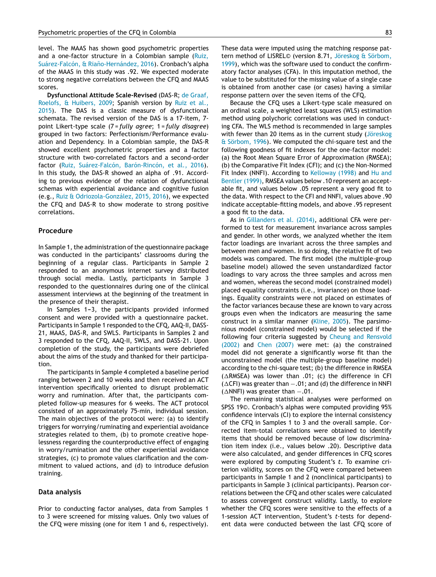level. The MAAS has shown good psychometric properties and a one-factor structure in a Colombian sample ([Ruiz,](#page-7-0) [Suárez-Falcón,](#page-7-0) [&](#page-7-0) Riaño-Hernández, [2016\).](#page-7-0) Cronbach's alpha of the MAAS in this study was .92. We expected moderate to strong negative correlations between the CFQ and MAAS scores.

**Dysfunctional Attitude Scale-Revised** (DAS-R; [de](#page-6-0) [Graaf,](#page-6-0) [Roelofs,](#page-6-0) [&](#page-6-0) [Huibers,](#page-6-0) [2009;](#page-6-0) Spanish version by [Ruiz](#page-7-0) et [al.,](#page-7-0) [2015\).](#page-7-0) The DAS is a classic measure of dysfunctional schemata. The revised version of the DAS is a 17-item, 7 point Likert-type scale (7 = *fully agree*; 1 = *fully disagree*) grouped in two factors: Perfectionism/Performance evaluation and Dependency. In a Colombian sample, the DAS-R showed excellent psychometric properties and a factor structure with two-correlated factors and a second-order factor ([Ruiz,](#page-7-0) [Suárez-Falcón,](#page-7-0) [Barón-Rincón,](#page-7-0) et [al.,](#page-7-0) [2016\).](#page-7-0) In this study, the DAS-R showed an alpha of .91. According to previous evidence of the relation of dysfunctional schemas with experiential avoidance and cognitive fusion (e.g., [Ruiz](#page-7-0) [&](#page-7-0) [Odriozola-González,](#page-7-0) [2015,](#page-7-0) [2016\),](#page-7-0) we expected the CFQ and DAS-R to show moderate to strong positive correlations.

## **Procedure**

In Sample 1, the administration of the questionnaire package was conducted in the participants' classrooms during the beginning of a regular class. Participants in Sample 2 responded to an anonymous internet survey distributed through social media. Lastly, participants in Sample 3 responded to the questionnaires during one of the clinical assessment interviews at the beginning of the treatment in the presence of their therapist.

In Samples  $1-3$ , the participants provided informed consent and were provided with a questionnaire packet. Participants in Sample 1 responded to the CFQ, AAQ-II, DASS-21, MAAS, DAS-R, and SWLS. Participants in Samples 2 and 3 responded to the CFQ, AAQ-II, SWLS, and DASS-21. Upon completion of the study, the participants were debriefed about the aims of the study and thanked for their participation.

The participants in Sample 4 completed a baseline period ranging between 2 and 10 weeks and then received an ACT intervention specifically oriented to disrupt problematic worry and rumination. After that, the participants completed follow-up measures for 6 weeks. The ACT protocol consisted of an approximately 75-min, individual session. The main objectives of the protocol were: (a) to identify triggers for worrying/ruminating and experiential avoidance strategies related to them, (b) to promote creative hopelessness regarding the counterproductive effect of engaging in worry/rumination and the other experiential avoidance strategies, (c) to promote values clarification and the commitment to valued actions, and (d) to introduce defusion training.

#### **Data analysis**

Prior to conducting factor analyses, data from Samples 1 to 3 were screened for missing values. Only two values of the CFQ were missing (one for item 1 and 6, respectively). These data were imputed using the matching response pattern method of LISREL© (version 8.71, [Jöreskog](#page-7-0) [&](#page-7-0) [Sörbom,](#page-7-0) [1999\),](#page-7-0) which was the software used to conduct the confirmatory factor analyses (CFA). In this imputation method, the value to be substituted for the missing value of a single case is obtained from another case (or cases) having a similar response pattern over the seven items of the CFQ.

Because the CFQ uses a Likert-type scale measured on an ordinal scale, a weighted least squares (WLS) estimation method using polychoric correlations was used in conducting CFA. The WLS method is recommended in large samples with fewer than 20 items as in the current study ([Jöreskog](#page-7-0) [&](#page-7-0) [Sörbom,](#page-7-0) [1996\).](#page-7-0) We computed the chi-square test and the following goodness of fit indexes for the one-factor model: (a) the Root Mean Square Error of Approximation (RMSEA); (b) the Comparative Fit Index (CFI); and (c) the Non-Normed Fit Index (NNFI). According to [Kelloway](#page-7-0) [\(1998\)](#page-7-0) and [Hu](#page-7-0) [and](#page-7-0) [Bentler](#page-7-0) [\(1999\),](#page-7-0) RMSEA values below .10 represent an acceptable fit, and values below .05 represent a very good fit to the data. With respect to the CFI and NNFI, values above .90 indicate acceptable-fitting models, and above .95 represent a good fit to the data.

As in [Gillanders](#page-6-0) et [al.](#page-6-0) [\(2014\),](#page-6-0) additional CFA were performed to test for measurement invariance across samples and gender. In other words, we analyzed whether the item factor loadings are invariant across the three samples and between men and women. In so doing, the relative fit of two models was compared. The first model (the multiple-group baseline model) allowed the seven unstandardized factor loadings to vary across the three samples and across men and women, whereas the second model (constrained model) placed equality constraints (i.e., invariance) on those loadings. Equality constraints were not placed on estimates of the factor variances because these are known to vary across groups even when the indicators are measuring the same construct in a similar manner ([Kline,](#page-7-0) [2005\).](#page-7-0) The parsimonious model (constrained model) would be selected if the following four criteria suggested by [Cheung](#page-6-0) [and](#page-6-0) [Rensvold](#page-6-0) [\(2002\)](#page-6-0) and [Chen](#page-6-0) [\(2007\)](#page-6-0) were met: (a) the constrained model did not generate a significantly worse fit than the unconstrained model (the multiple-group baseline model) according to the chi-square test; (b) the difference in RMSEA  $(\triangle RMSEA)$  was lower than .01; (c) the difference in CFI  $(\Delta$ CFI) was greater than - .01; and (d) the difference in NNFI  $(\triangle NNFI)$  was greater than  $-.01$ .

The remaining statistical analyses were performed on SPSS 19©. Cronbach's alphas were computed providing 95% confidence intervals (CI) to explore the internal consistency of the CFQ in Samples 1 to 3 and the overall sample. Corrected item-total correlations were obtained to identify items that should be removed because of low discrimination item index (i.e., values below .20). Descriptive data were also calculated, and gender differences in CFQ scores were explored by computing Student's *t*. To examine criterion validity, scores on the CFQ were compared between participants in Sample 1 and 2 (nonclinical participants) to participants in Sample 3 (clinical participants). Pearson correlations between the CFQ and other scales were calculated to assess convergent construct validity. Lastly, to explore whether the CFQ scores were sensitive to the effects of a 1-session ACT intervention, Student's *t*-tests for dependent data were conducted between the last CFQ score of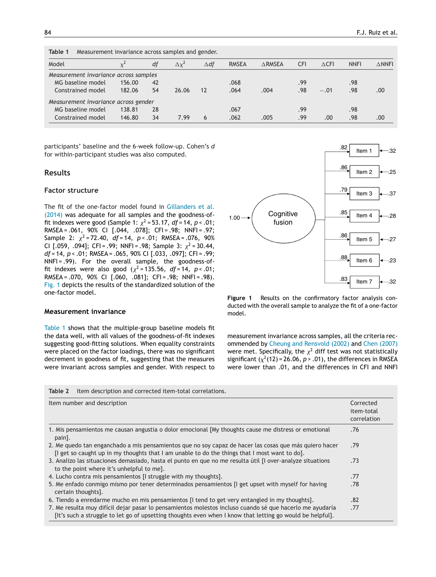<span id="page-4-0"></span>

| Table 1<br>Measurement invariance across samples and gender. |        |    |                 |             |              |                   |            |                 |             |                  |
|--------------------------------------------------------------|--------|----|-----------------|-------------|--------------|-------------------|------------|-----------------|-------------|------------------|
| Model                                                        |        | df | $\Delta \chi^2$ | $\Delta df$ | <b>RMSEA</b> | $\triangle$ RMSEA | <b>CFI</b> | $\triangle$ CFI | <b>NNFI</b> | $\triangle$ NNFI |
| Measurement invariance across samples                        |        |    |                 |             |              |                   |            |                 |             |                  |
| MG baseline model                                            | 156.00 | 42 |                 |             | .068         |                   | .99        |                 | .98         |                  |
| Constrained model                                            | 182.06 | 54 | 26.06           | 12          | .064         | .004              | .98        | $-.01$          | .98         | .00              |
| Measurement invariance across gender                         |        |    |                 |             |              |                   |            |                 |             |                  |
| MG baseline model                                            | 138.81 | 28 |                 |             | .067         |                   | .99        |                 | .98         |                  |
| Constrained model                                            | 146.80 | 34 | 7.99            | 6           | .062         | .005              | .99        | .00.            | .98         | .00              |

participants' baseline and the 6-week follow-up. Cohen's *d* for within-participant studies was also computed.

## **Results**

## **Factor structure**

The fit of the one-factor model found in [Gillanders](#page-6-0) et [al.](#page-6-0) [\(2014\)](#page-6-0) was adequate for all samples and the goodness-offit indexes were good (Sample 1:  $\chi^2$  = 53.17, *df* = 14, *p* < .01; RMSEA = .061, 90% CI [.044, .078]; CFI = .98; NNFI = .97; Sample 2:  $\chi^2$  = 72.40, *df* = 14, *p* < .01; RMSEA = .076, 90% CI [.059, .094]; CFI = .99; NNFI = .98; Sample 3:  $\chi^2$  = 30.44, *df* = 14, *p* < .01; RMSEA = .065, 90% CI [.033, .097]; CFI = .99; NNFI = .99). For the overall sample, the goodness-offit indexes were also good ( $\chi^2$  = 135.56, *df* = 14, *p* < .01; RMSEA = .070, 90% CI [.060, .081]; CFI = .98; NNFI = .98). Fig. 1 depicts the results of the standardized solution of the one-factor model.

## **Measurement invariance**

Table 1 shows that the multiple-group baseline models fit the data well, with all values of the goodness-of-fit indexes suggesting good-fitting solutions. When equality constraints were placed on the factor loadings, there was no significant decrement in goodness of fit, suggesting that the measures were invariant across samples and gender. With respect to



**Figure 1** Results on the confirmatory factor analysis conducted with the overall sample to analyze the fit of a one-factor model.

measurement invariance across samples, all the criteria recommended by [Cheung](#page-6-0) [and](#page-6-0) [Rensvold](#page-6-0) [\(2002\)](#page-6-0) and [Chen](#page-6-0) [\(2007\)](#page-6-0) were met. Specifically, the  $\chi^2$  diff test was not statistically significant  $(\chi^2(12)$  = 26.06, p > .01), the differences in RMSEA were lower than .01, and the differences in CFI and NNFI

| Item description and corrected item-total correlations.<br>Table 2                                                                                                                                                    |     |  |  |  |
|-----------------------------------------------------------------------------------------------------------------------------------------------------------------------------------------------------------------------|-----|--|--|--|
| Item number and description                                                                                                                                                                                           |     |  |  |  |
| 1. Mis pensamientos me causan angustia o dolor emocional [My thoughts cause me distress or emotional<br>pain].                                                                                                        | .76 |  |  |  |
| 2. Me quedo tan enganchado a mis pensamientos que no soy capaz de hacer las cosas que más quiero hacer<br>[I get so caught up in my thoughts that I am unable to do the things that I most want to do].               | .79 |  |  |  |
| 3. Analizo las situaciones demasiado, hasta el punto en que no me resulta útil [I over-analyze situations<br>to the point where it's unhelpful to me].                                                                | .73 |  |  |  |
| 4. Lucho contra mis pensamientos [I struggle with my thoughts].                                                                                                                                                       | .77 |  |  |  |
| 5. Me enfado conmigo mismo por tener determinados pensamientos [I get upset with myself for having<br>certain thoughts].                                                                                              | .78 |  |  |  |
| 6. Tiendo a enredarme mucho en mis pensamientos [I tend to get very entangled in my thoughts].                                                                                                                        | .82 |  |  |  |
| 7. Me resulta muy difícil dejar pasar lo pensamientos molestos incluso cuando sé que hacerlo me ayudaría<br>[It's such a struggle to let go of upsetting thoughts even when I know that letting go would be helpful]. | .77 |  |  |  |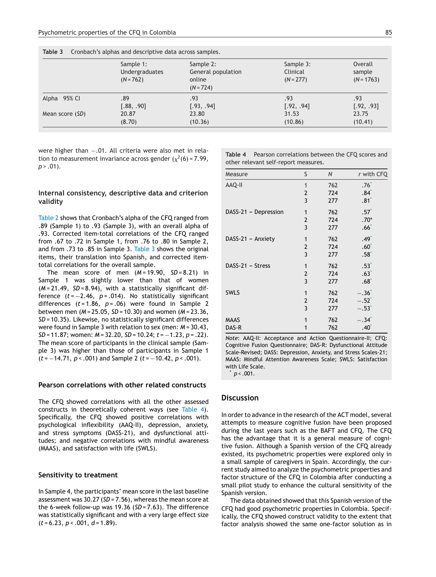| Table 3 | Cronbach's alphas and descriptive data across samples. |  |  |  |  |
|---------|--------------------------------------------------------|--|--|--|--|
|---------|--------------------------------------------------------|--|--|--|--|

|                 | Sample 1:<br>Undergraduates<br>$(N = 762)$ | Sample 2:<br>General population<br>online<br>$(N = 724)$ | Sample 3:<br>Clinical<br>$(N = 277)$ | Overall<br>sample<br>$(N = 1763)$ |
|-----------------|--------------------------------------------|----------------------------------------------------------|--------------------------------------|-----------------------------------|
| Alpha 95% CI    | .89                                        | .93                                                      | .93                                  | .93                               |
|                 | [.88, .90]                                 | [.93, .94]                                               | [.92, .94]                           | [.92, .93]                        |
| Mean score (SD) | 20.87                                      | 23.80                                                    | 31.53                                | 23.75                             |
|                 | (8.70)                                     | (10.36)                                                  | (10.86)                              | (10.41)                           |

were higher than −.01. All criteria were also met in relation to measurement invariance across gender ( $\chi^2$ (6) = 7.99, *p* > .01).

## **Internal consistency, descriptive data and criterion validity**

[Table](#page-4-0) 2 shows that Cronbach's alpha of the CFQ ranged from .89 (Sample 1) to .93 (Sample 3), with an overall alpha of .93. Corrected item-total correlations of the CFQ ranged from .67 to .72 in Sample 1, from .76 to .80 in Sample 2, and from .73 to .85 in Sample 3. Table 3 shows the original items, their translation into Spanish, and corrected itemtotal correlations for the overall sample.

The mean score of men (*M* = 19.90, *SD* = 8.21) in Sample 1 was slightly lower than that of women (*M* = 21.49, *SD* = 8.94), with a statistically significant difference (*t* = −2.46, *p* = .014). No statistically significant differences (*t* = 1.86, *p* = .06) were found in Sample 2 between men (*M* = 25.05, *SD* = 10.30) and women (*M* = 23.36, *SD* = 10.35). Likewise, no statistically significant differences were found in Sample 3 with relation to sex (men: *M* = 30.43, *SD* = 11.87; women: *M* = 32.20, *SD* = 10.24; *t* = −1.23, *p* = .22). The mean score of participants in the clinical sample (Sample 3) was higher than those of participants in Sample 1 (*t* = −14.71, *p* < .001) and Sample 2 (*t* = −10.42, *p* < .001).

### **Pearson correlations with other related constructs**

The CFQ showed correlations with all the other assessed constructs in theoretically coherent ways (see Table 4). Specifically, the CFQ showed positive correlations with psychological inflexibility (AAQ-II), depression, anxiety, and stress symptoms (DASS-21), and dysfunctional attitudes; and negative correlations with mindful awareness (MAAS), and satisfaction with life (SWLS).

#### **Sensitivity to treatment**

In Sample 4, the participants' mean score in the last baseline assessment was 30.27 (*SD* = 7.56), whereas the mean score at the 6-week follow-up was 19.36 (*SD* = 7.63). The difference was statistically significant and with a very large effect size (*t* = 6.23, *p* < .001, *d* = 1.89).

**Table 4** Pearson correlations between the CFQ scores and other relevant self-report measures.

| Measure              | S              | $\overline{N}$ | r with CFQ          |
|----------------------|----------------|----------------|---------------------|
| AAQ-II               | $\mathbf{1}$   | 762            | $.76*$              |
|                      | 2              | 724            | .84                 |
|                      | 3              | 277            | $.81*$              |
| DASS-21 - Depression | 1              | 762            | $.57^*$             |
|                      | 2              | 724            | $.70*$              |
|                      | 3              | 277            | $.66*$              |
| DASS-21 - Anxiety    | 1              | 762            | $.49*$              |
|                      | $\overline{2}$ | 724            | $.60*$              |
|                      | 3              | 277            | $.58*$              |
| DASS-21 - Stress     | 1              | 762            | $.53*$              |
|                      | 2              | 724            | $.63$ <sup>*</sup>  |
|                      | $\overline{3}$ | 277            | $.68*$              |
| <b>SWLS</b>          | 1              | 762            | $-.36*$             |
|                      | 2              | 724            | $-.52$ <sup>*</sup> |
|                      | 3              | 277            | $-.53"$             |
| <b>MAAS</b>          | 1              | 762            | $-.34^{\degree}$    |
| DAS-R                | 1              | 762            | .40 <sup>°</sup>    |

*Note*: AAQ-II: Acceptance and Action Questionnaire-II; CFQ: Cognitive Fusion Questionnaire; DAS-R: Dysfunctional Attitude Scale-Revised; DASS: Depression, Anxiety, and Stress Scales-21; MAAS: Mindful Attention Awareness Scale; SWLS: Satisfaction with Life Scale.

 $p < .001$ .

## **Discussion**

In order to advance in the research of the ACT model, several attempts to measure cognitive fusion have been proposed during the last years such as the BAFT and CFQ. The CFQ has the advantage that it is a general measure of cognitive fusion. Although a Spanish version of the CFQ already existed, its psychometric properties were explored only in a small sample of caregivers in Spain. Accordingly, the current study aimed to analyze the psychometric properties and factor structure of the CFQ in Colombia after conducting a small pilot study to enhance the cultural sensitivity of the Spanish version.

The data obtained showed that this Spanish version of the CFQ had good psychometric properties in Colombia. Specifically, the CFQ showed construct validity to the extent that factor analysis showed the same one-factor solution as in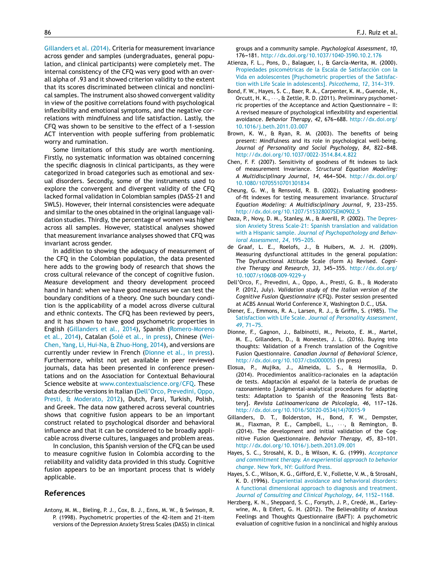<span id="page-6-0"></span>Gillanders et al. (2014). Criteria for measurement invariance across gender and samples (undergraduates, general population, and clinical participants) were completely met. The internal consistency of the CFQ was very good with an overall alpha of .93 and it showed criterion validity to the extent that its scores discriminated between clinical and nonclinical samples. The instrument also showed convergent validity in view of the positive correlations found with psychological inflexibility and emotional symptoms, and the negative correlations with mindfulness and life satisfaction. Lastly, the CFQ was shown to be sensitive to the effect of a 1-session ACT intervention with people suffering from problematic worry and rumination.

Some limitations of this study are worth mentioning. Firstly, no systematic information was obtained concerning the specific diagnosis in clinical participants, as they were categorized in broad categories such as emotional and sexual disorders. Secondly, some of the instruments used to explore the convergent and divergent validity of the CFQ lacked formal validation in Colombian samples (DASS-21 and SWLS). However, their internal consistencies were adequate and similar to the ones obtained in the original language validation studies. Thirdly, the percentage of women was higher across all samples. However, statistical analyses showed that measurement invariance analyses showed that CFQ was invariant across gender.

In addition to showing the adequacy of measurement of the CFQ in the Colombian population, the data presented here adds to the growing body of research that shows the cross cultural relevance of the concept of cognitive fusion. Measure development and theory development proceed hand in hand: when we have good measures we can test the boundary conditions of a theory. One such boundary condition is the applicability of a model across diverse cultural and ethnic contexts. The CFQ has been reviewed by peers, and it has shown to have good psychometric properties in English (Gillanders et al., 2014), Spanish [\(Romero-Moreno](#page-7-0) et [al.,](#page-7-0) [2014\),](#page-7-0) Catalan [\(Solé](#page-7-0) et [al.,](#page-7-0) [in](#page-7-0) [press\),](#page-7-0) Chinese [\(Wei-](#page-7-0)Chen, [Yang,](#page-7-0) [Li,](#page-7-0) [Hui-Na,](#page-7-0) [&](#page-7-0) [Zhuo-Hong,](#page-7-0) [2014\),](#page-7-0) and versions are currently under review in French (Dionne et al., in press). Furthermore, whilst not yet available in peer reviewed journals, data has been presented in conference presentations and on the Association for Contextual Behavioural Science website at [www.contextualscience.org/CFQ.](http://www.contextualscience.org/CFQ) These data describe versions in Italian (Dell'Orco, Prevedini, Oppo, Presti, & Moderato, 2012), Dutch, Farsi, Turkish, Polish, and Greek. The data now gathered across several countries shows that cognitive fusion appears to be an important construct related to psychological disorder and behavioral influence and that it can be considered to be broadly applicable across diverse cultures, languages and problem areas.

In conclusion, this Spanish version of the CFQ can be used to measure cognitive fusion in Colombia according to the reliability and validity data provided in this study. Cognitive fusion appears to be an important process that is widely applicable.

## **References**

Antony, M. M., Bieling, P. J., Cox, B. J., Enns, M. W., & Swinson, R. P. (1998). Psychometric properties of the 42-item and 21-item versions of the Depression Anxiety Stress Scales (DASS) in clinical groups and a community sample. *Psychological Assessment*, *10*, 176-181. [http://dx.doi.org/10.1037/1040-3590.10.2.176](dx.doi.org/10.1037/1040-3590.10.2.176)

- Atienza, F. L., Pons, D., Balaguer, I., & García-Merita, M. (2000). [Propiedades](http://refhub.elsevier.com/S0120-0534(16)30062-0/sbref0010) [psicométricas](http://refhub.elsevier.com/S0120-0534(16)30062-0/sbref0010) [de](http://refhub.elsevier.com/S0120-0534(16)30062-0/sbref0010) [la](http://refhub.elsevier.com/S0120-0534(16)30062-0/sbref0010) [Escala](http://refhub.elsevier.com/S0120-0534(16)30062-0/sbref0010) [de](http://refhub.elsevier.com/S0120-0534(16)30062-0/sbref0010) [Satisfacción](http://refhub.elsevier.com/S0120-0534(16)30062-0/sbref0010) [con](http://refhub.elsevier.com/S0120-0534(16)30062-0/sbref0010) [la](http://refhub.elsevier.com/S0120-0534(16)30062-0/sbref0010) [Vida](http://refhub.elsevier.com/S0120-0534(16)30062-0/sbref0010) [en](http://refhub.elsevier.com/S0120-0534(16)30062-0/sbref0010) [adolescentes](http://refhub.elsevier.com/S0120-0534(16)30062-0/sbref0010) [\[Psychometric](http://refhub.elsevier.com/S0120-0534(16)30062-0/sbref0010) [properties](http://refhub.elsevier.com/S0120-0534(16)30062-0/sbref0010) [of](http://refhub.elsevier.com/S0120-0534(16)30062-0/sbref0010) [the](http://refhub.elsevier.com/S0120-0534(16)30062-0/sbref0010) [Satisfac](http://refhub.elsevier.com/S0120-0534(16)30062-0/sbref0010)[tion](http://refhub.elsevier.com/S0120-0534(16)30062-0/sbref0010) [with](http://refhub.elsevier.com/S0120-0534(16)30062-0/sbref0010) [Life](http://refhub.elsevier.com/S0120-0534(16)30062-0/sbref0010) [Scale](http://refhub.elsevier.com/S0120-0534(16)30062-0/sbref0010) [in](http://refhub.elsevier.com/S0120-0534(16)30062-0/sbref0010) [adolescents\].](http://refhub.elsevier.com/S0120-0534(16)30062-0/sbref0010) *[Psicothema](http://refhub.elsevier.com/S0120-0534(16)30062-0/sbref0010)*[,](http://refhub.elsevier.com/S0120-0534(16)30062-0/sbref0010) [12](http://refhub.elsevier.com/S0120-0534(16)30062-0/sbref0010), 314-319.
- Bond, F. W., Hayes, S. C., Baer, R. A., Carpenter, K. M., Guenole, N., Orcutt, H. K., · · ·, & Zettle, R. D. (2011). Preliminary psychometric properties of the Acceptance and Action Questionnaire - II: A revised measure of psychological inflexibility and experiential avoidance. Behavior Therapy, 42, 676-688. [http://dx.doi.org/](dx.doi.org/10.1016/j.beth.2011.03.007) [10.1016/j.beth.2011.03.007](dx.doi.org/10.1016/j.beth.2011.03.007)
- Brown, K. W., & Ryan, R. M. (2003). The benefits of being present: Mindfulness and its role in psychological well-being. *Journal of Personality and Social Psychology*, *84*, 822---848. [http://dx.doi.org/10.1037/0022-3514.84.4.822](dx.doi.org/10.1037/0022-3514.84.4.822)
- Chen, F. F. (2007). Sensitivity of goodness of fit indexes to lack of measurement invariance. *Structural Equation Modeling:* A Multidisciplinary Journal, 14, 464-504. [http://dx.doi.org/](dx.doi.org/10.1080/10705510701301834) [10.1080/10705510701301834](dx.doi.org/10.1080/10705510701301834)
- Cheung, G. W., & Rensvold, R. B. (2002). Evaluating goodnessof-fit indexes for testing measurement invariance. *Structural Equation Modeling: A Multidisciplinary Journal, 9, 233-255.* [http://dx.doi.org/10.1207/S15328007SEM0902](dx.doi.org/10.1207/S15328007SEM0902_5) 5
- Daza, P., Novy, D. M., Stanley, M., & Averill, P. (2002). [The](http://refhub.elsevier.com/S0120-0534(16)30062-0/sbref0035) [Depres](http://refhub.elsevier.com/S0120-0534(16)30062-0/sbref0035)[sion](http://refhub.elsevier.com/S0120-0534(16)30062-0/sbref0035) [Anxiety](http://refhub.elsevier.com/S0120-0534(16)30062-0/sbref0035) [Stress](http://refhub.elsevier.com/S0120-0534(16)30062-0/sbref0035) [Scale-21:](http://refhub.elsevier.com/S0120-0534(16)30062-0/sbref0035) [Spanish](http://refhub.elsevier.com/S0120-0534(16)30062-0/sbref0035) [translation](http://refhub.elsevier.com/S0120-0534(16)30062-0/sbref0035) [and](http://refhub.elsevier.com/S0120-0534(16)30062-0/sbref0035) [validation](http://refhub.elsevier.com/S0120-0534(16)30062-0/sbref0035) [with](http://refhub.elsevier.com/S0120-0534(16)30062-0/sbref0035) [a](http://refhub.elsevier.com/S0120-0534(16)30062-0/sbref0035) [Hispanic](http://refhub.elsevier.com/S0120-0534(16)30062-0/sbref0035) [sample.](http://refhub.elsevier.com/S0120-0534(16)30062-0/sbref0035) *[Journal](http://refhub.elsevier.com/S0120-0534(16)30062-0/sbref0035) [of](http://refhub.elsevier.com/S0120-0534(16)30062-0/sbref0035) [Psychopathology](http://refhub.elsevier.com/S0120-0534(16)30062-0/sbref0035) [and](http://refhub.elsevier.com/S0120-0534(16)30062-0/sbref0035) [Behav](http://refhub.elsevier.com/S0120-0534(16)30062-0/sbref0035)[ioral](http://refhub.elsevier.com/S0120-0534(16)30062-0/sbref0035) [Assessment](http://refhub.elsevier.com/S0120-0534(16)30062-0/sbref0035)*[,](http://refhub.elsevier.com/S0120-0534(16)30062-0/sbref0035) [24](http://refhub.elsevier.com/S0120-0534(16)30062-0/sbref0035), 195-205.
- de Graaf, L. E., Roelofs, J., & Huibers, M. J. H. (2009). Measuring dysfunctional attitudes in the general population: The Dysfunctional Attitude Scale (form A) Revised. *Cognitive* Therapy and Research, 33, 345-355. [http://dx.doi.org/](dx.doi.org/10.1007/s10608-009-9229-y) [10.1007/s10608-009-9229-y](dx.doi.org/10.1007/s10608-009-9229-y)
- Dell'Orco, F., Prevedini, A., Oppo, A., Presti, G. B., & Moderato P. (2012, July). *Validation study of the Italian version of the Cognitive Fusion Questionnaire* (CFQ). Poster session presented at ACBS Annual World Conference X, Washington D.C., USA.
- Diener, E., Emmons, R. A., Larsen, R. J., & Griffin, S. (1985). [The](http://refhub.elsevier.com/S0120-0534(16)30062-0/sbref0050) [Satisfaction](http://refhub.elsevier.com/S0120-0534(16)30062-0/sbref0050) [with](http://refhub.elsevier.com/S0120-0534(16)30062-0/sbref0050) [Life](http://refhub.elsevier.com/S0120-0534(16)30062-0/sbref0050) [Scale.](http://refhub.elsevier.com/S0120-0534(16)30062-0/sbref0050) *[Journal](http://refhub.elsevier.com/S0120-0534(16)30062-0/sbref0050) [of](http://refhub.elsevier.com/S0120-0534(16)30062-0/sbref0050) [Personality](http://refhub.elsevier.com/S0120-0534(16)30062-0/sbref0050) [Assessment](http://refhub.elsevier.com/S0120-0534(16)30062-0/sbref0050)*[,](http://refhub.elsevier.com/S0120-0534(16)30062-0/sbref0050) [49](http://refhub.elsevier.com/S0120-0534(16)30062-0/sbref0050)[,](http://refhub.elsevier.com/S0120-0534(16)30062-0/sbref0050) [71](http://refhub.elsevier.com/S0120-0534(16)30062-0/sbref0050)-[75.](http://refhub.elsevier.com/S0120-0534(16)30062-0/sbref0050)
- Dionne, F., Gagnon, J., Balbinotti, M., Peixoto, E. M., Martel, M. E., Gillanders, D., & Monestes, J. L. (2016). Buying into thoughts: Validation of a French translation of the Cognitive Fusion Questionnaire. *Canadian Journal of Behavioral Science*, [http://dx.doi.org/10.1037/cbs0000053](dx.doi.org/10.1037/cbs0000053) (in press)
- Elosua, P., Mujika, J., Almeida, L. S., & Hermosilla, D. (2014). Procedimientos analítico-racionales en la adaptación de tests. Adaptación al español de la batería de pruebas de razonamiento [Judgmental-analytical procedures for adapting tests: Adaptation to Spanish of the Reasoning Tests Battery]. Revista Latinoamericana de Psicología, 46, 117-126. [http://dx.doi.org/10.1016/S0120-0534\(14\)70015-9](dx.doi.org/10.1016/S0120-0534(14)70015-9)
- Gillanders, D. T., Bolderston, H., Bond, F. W., Dempster, M., Flaxman, P. E., Campbell, L., ..., & Remington, B. (2014). The development and initial validation of the Cognitive Fusion Questionnaire. Behavior Therapy, 45, 83-101. [http://dx.doi.org/10.1016/j.beth.2013.09.001](dx.doi.org/10.1016/j.beth.2013.09.001)
- Hayes, S. C., Strosahl, K. D., & Wilson, K. G. (1999). *[Acceptance](http://refhub.elsevier.com/S0120-0534(16)30062-0/sbref0070) [and](http://refhub.elsevier.com/S0120-0534(16)30062-0/sbref0070) [commitment](http://refhub.elsevier.com/S0120-0534(16)30062-0/sbref0070) [therapy.](http://refhub.elsevier.com/S0120-0534(16)30062-0/sbref0070) [An](http://refhub.elsevier.com/S0120-0534(16)30062-0/sbref0070) [experiential](http://refhub.elsevier.com/S0120-0534(16)30062-0/sbref0070) [approach](http://refhub.elsevier.com/S0120-0534(16)30062-0/sbref0070) [to](http://refhub.elsevier.com/S0120-0534(16)30062-0/sbref0070) [behavior](http://refhub.elsevier.com/S0120-0534(16)30062-0/sbref0070) [change](http://refhub.elsevier.com/S0120-0534(16)30062-0/sbref0070)*[.](http://refhub.elsevier.com/S0120-0534(16)30062-0/sbref0070) [New](http://refhub.elsevier.com/S0120-0534(16)30062-0/sbref0070) [York,](http://refhub.elsevier.com/S0120-0534(16)30062-0/sbref0070) [NY:](http://refhub.elsevier.com/S0120-0534(16)30062-0/sbref0070) [Guilford](http://refhub.elsevier.com/S0120-0534(16)30062-0/sbref0070) [Press.](http://refhub.elsevier.com/S0120-0534(16)30062-0/sbref0070)
- Hayes, S. C., Wilson, K. G., Gifford, E. V., Follette, V. M., & Strosahl, K. D. (1996). [Experiential](http://refhub.elsevier.com/S0120-0534(16)30062-0/sbref0075) [avoidance](http://refhub.elsevier.com/S0120-0534(16)30062-0/sbref0075) [and](http://refhub.elsevier.com/S0120-0534(16)30062-0/sbref0075) [behavioral](http://refhub.elsevier.com/S0120-0534(16)30062-0/sbref0075) [disorders:](http://refhub.elsevier.com/S0120-0534(16)30062-0/sbref0075) [A](http://refhub.elsevier.com/S0120-0534(16)30062-0/sbref0075) [functional](http://refhub.elsevier.com/S0120-0534(16)30062-0/sbref0075) [dimensional](http://refhub.elsevier.com/S0120-0534(16)30062-0/sbref0075) [approach](http://refhub.elsevier.com/S0120-0534(16)30062-0/sbref0075) [to](http://refhub.elsevier.com/S0120-0534(16)30062-0/sbref0075) [diagnosis](http://refhub.elsevier.com/S0120-0534(16)30062-0/sbref0075) [and](http://refhub.elsevier.com/S0120-0534(16)30062-0/sbref0075) [treatment.](http://refhub.elsevier.com/S0120-0534(16)30062-0/sbref0075) *[Journal](http://refhub.elsevier.com/S0120-0534(16)30062-0/sbref0075) [of](http://refhub.elsevier.com/S0120-0534(16)30062-0/sbref0075) [Consulting](http://refhub.elsevier.com/S0120-0534(16)30062-0/sbref0075) [and](http://refhub.elsevier.com/S0120-0534(16)30062-0/sbref0075) [Clinical](http://refhub.elsevier.com/S0120-0534(16)30062-0/sbref0075) [Psychology](http://refhub.elsevier.com/S0120-0534(16)30062-0/sbref0075)[,](http://refhub.elsevier.com/S0120-0534(16)30062-0/sbref0075) [64](http://refhub.elsevier.com/S0120-0534(16)30062-0/sbref0075), 1152-1168.*
- Herzberg, K. N., Sheppard, S. C., Forsyth, J. P., Credé, M., Earleywine, M., & Eifert, G. H. (2012). The Believability of Anxious Feelings and Thoughts Questionnaire (BAFT): A psychometric evaluation of cognitive fusion in a nonclinical and highly anxious